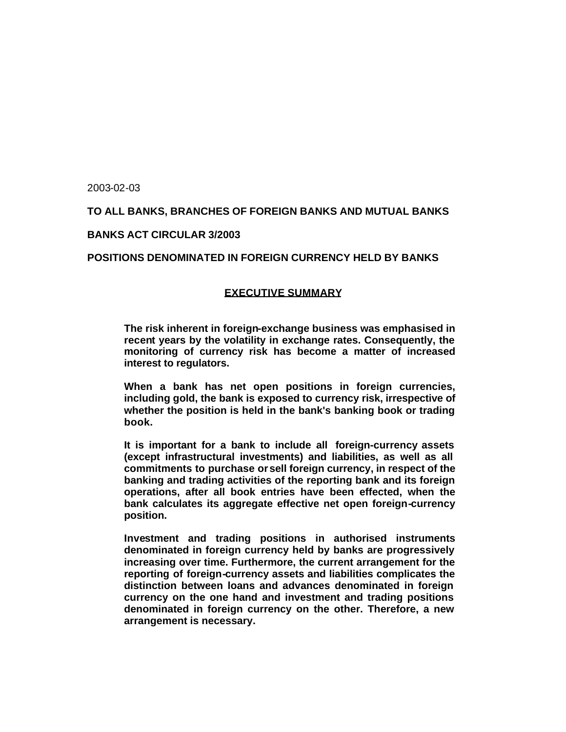2003-02-03

# **TO ALL BANKS, BRANCHES OF FOREIGN BANKS AND MUTUAL BANKS**

### **BANKS ACT CIRCULAR 3/2003**

### **POSITIONS DENOMINATED IN FOREIGN CURRENCY HELD BY BANKS**

#### **EXECUTIVE SUMMARY**

**The risk inherent in foreign-exchange business was emphasised in recent years by the volatility in exchange rates. Consequently, the monitoring of currency risk has become a matter of increased interest to regulators.**

**When a bank has net open positions in foreign currencies, including gold, the bank is exposed to currency risk, irrespective of whether the position is held in the bank's banking book or trading book.**

**It is important for a bank to include all foreign-currency assets (except infrastructural investments) and liabilities, as well as all commitments to purchase or sell foreign currency, in respect of the banking and trading activities of the reporting bank and its foreign operations, after all book entries have been effected, when the bank calculates its aggregate effective net open foreign-currency position.**

**Investment and trading positions in authorised instruments denominated in foreign currency held by banks are progressively increasing over time. Furthermore, the current arrangement for the reporting of foreign-currency assets and liabilities complicates the distinction between loans and advances denominated in foreign currency on the one hand and investment and trading positions denominated in foreign currency on the other. Therefore, a new arrangement is necessary.**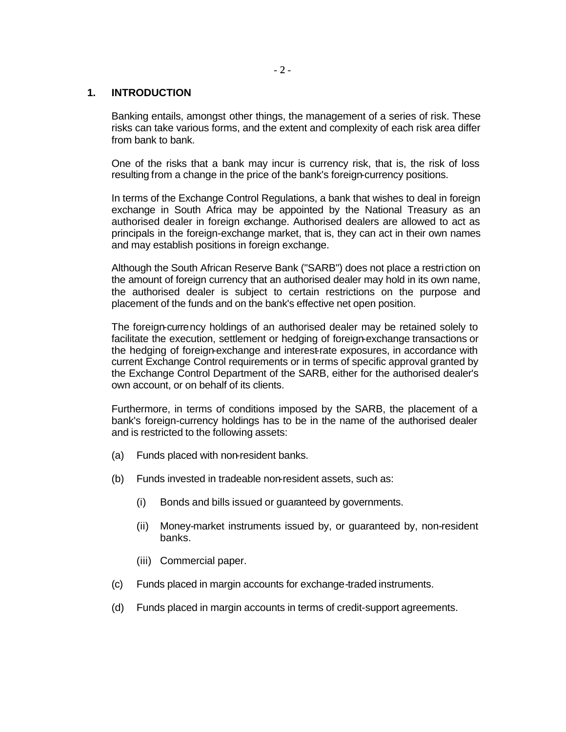### **1. INTRODUCTION**

Banking entails, amongst other things, the management of a series of risk. These risks can take various forms, and the extent and complexity of each risk area differ from bank to bank.

One of the risks that a bank may incur is currency risk, that is, the risk of loss resulting from a change in the price of the bank's foreign-currency positions.

In terms of the Exchange Control Regulations, a bank that wishes to deal in foreign exchange in South Africa may be appointed by the National Treasury as an authorised dealer in foreign exchange. Authorised dealers are allowed to act as principals in the foreign-exchange market, that is, they can act in their own names and may establish positions in foreign exchange.

Although the South African Reserve Bank ("SARB") does not place a restriction on the amount of foreign currency that an authorised dealer may hold in its own name, the authorised dealer is subject to certain restrictions on the purpose and placement of the funds and on the bank's effective net open position.

The foreign-currency holdings of an authorised dealer may be retained solely to facilitate the execution, settlement or hedging of foreign-exchange transactions or the hedging of foreign-exchange and interest-rate exposures, in accordance with current Exchange Control requirements or in terms of specific approval granted by the Exchange Control Department of the SARB, either for the authorised dealer's own account, or on behalf of its clients.

Furthermore, in terms of conditions imposed by the SARB, the placement of a bank's foreign-currency holdings has to be in the name of the authorised dealer and is restricted to the following assets:

- (a) Funds placed with non-resident banks.
- (b) Funds invested in tradeable non-resident assets, such as:
	- (i) Bonds and bills issued or guaranteed by governments.
	- (ii) Money-market instruments issued by, or guaranteed by, non-resident banks.
	- (iii) Commercial paper.
- (c) Funds placed in margin accounts for exchange-traded instruments.
- (d) Funds placed in margin accounts in terms of credit-support agreements.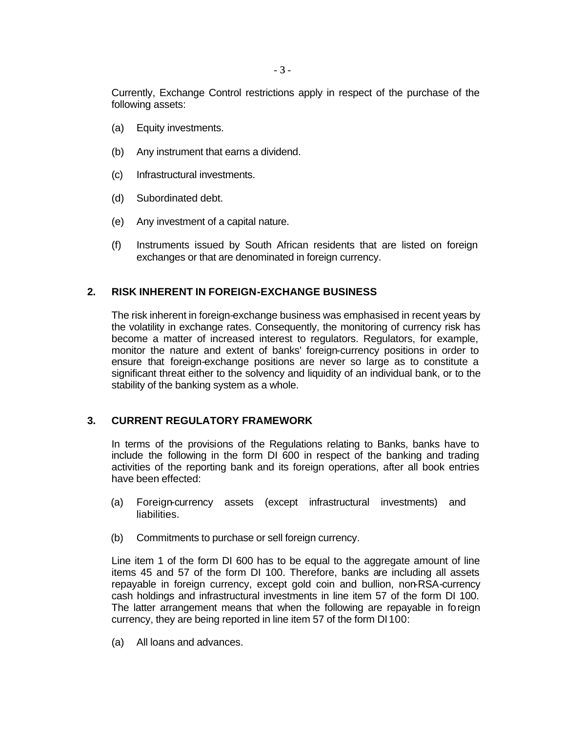Currently, Exchange Control restrictions apply in respect of the purchase of the following assets:

- (a) Equity investments.
- (b) Any instrument that earns a dividend.
- (c) Infrastructural investments.
- (d) Subordinated debt.
- (e) Any investment of a capital nature.
- (f) Instruments issued by South African residents that are listed on foreign exchanges or that are denominated in foreign currency.

# **2. RISK INHERENT IN FOREIGN-EXCHANGE BUSINESS**

The risk inherent in foreign-exchange business was emphasised in recent years by the volatility in exchange rates. Consequently, the monitoring of currency risk has become a matter of increased interest to regulators. Regulators, for example, monitor the nature and extent of banks' foreign-currency positions in order to ensure that foreign-exchange positions are never so large as to constitute a significant threat either to the solvency and liquidity of an individual bank, or to the stability of the banking system as a whole.

# **3. CURRENT REGULATORY FRAMEWORK**

In terms of the provisions of the Regulations relating to Banks, banks have to include the following in the form DI 600 in respect of the banking and trading activities of the reporting bank and its foreign operations, after all book entries have been effected:

- (a) Foreign-currency assets (except infrastructural investments) and liabilities.
- (b) Commitments to purchase or sell foreign currency.

Line item 1 of the form DI 600 has to be equal to the aggregate amount of line items 45 and 57 of the form DI 100. Therefore, banks are including all assets repayable in foreign currency, except gold coin and bullion, non-RSA-currency cash holdings and infrastructural investments in line item 57 of the form DI 100. The latter arrangement means that when the following are repayable in foreign currency, they are being reported in line item 57 of the form DI100:

(a) All loans and advances.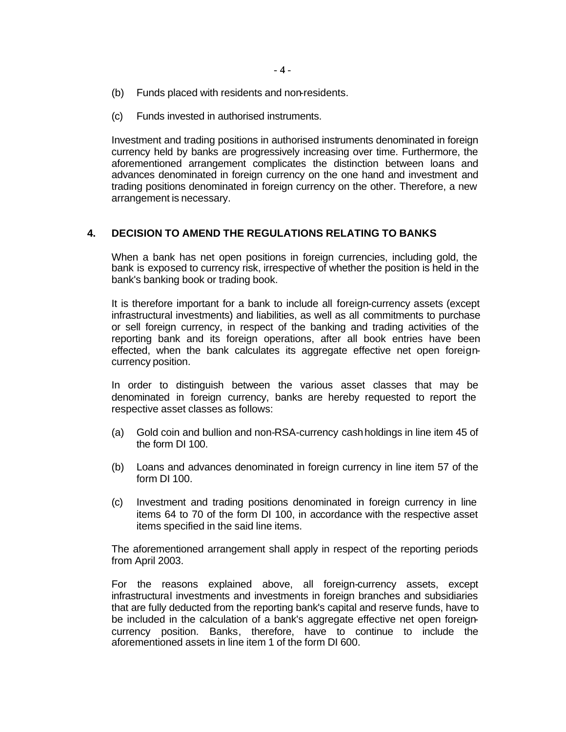- (b) Funds placed with residents and non-residents.
- (c) Funds invested in authorised instruments.

Investment and trading positions in authorised instruments denominated in foreign currency held by banks are progressively increasing over time. Furthermore, the aforementioned arrangement complicates the distinction between loans and advances denominated in foreign currency on the one hand and investment and trading positions denominated in foreign currency on the other. Therefore, a new arrangement is necessary.

### **4. DECISION TO AMEND THE REGULATIONS RELATING TO BANKS**

When a bank has net open positions in foreign currencies, including gold, the bank is exposed to currency risk, irrespective of whether the position is held in the bank's banking book or trading book.

It is therefore important for a bank to include all foreign-currency assets (except infrastructural investments) and liabilities, as well as all commitments to purchase or sell foreign currency, in respect of the banking and trading activities of the reporting bank and its foreign operations, after all book entries have been effected, when the bank calculates its aggregate effective net open foreigncurrency position.

In order to distinguish between the various asset classes that may be denominated in foreign currency, banks are hereby requested to report the respective asset classes as follows:

- (a) Gold coin and bullion and non-RSA-currency cash holdings in line item 45 of the form DI 100.
- (b) Loans and advances denominated in foreign currency in line item 57 of the form DI 100.
- (c) Investment and trading positions denominated in foreign currency in line items 64 to 70 of the form DI 100, in accordance with the respective asset items specified in the said line items.

The aforementioned arrangement shall apply in respect of the reporting periods from April 2003.

For the reasons explained above, all foreign-currency assets, except infrastructural investments and investments in foreign branches and subsidiaries that are fully deducted from the reporting bank's capital and reserve funds, have to be included in the calculation of a bank's aggregate effective net open foreigncurrency position. Banks, therefore, have to continue to include the aforementioned assets in line item 1 of the form DI 600.